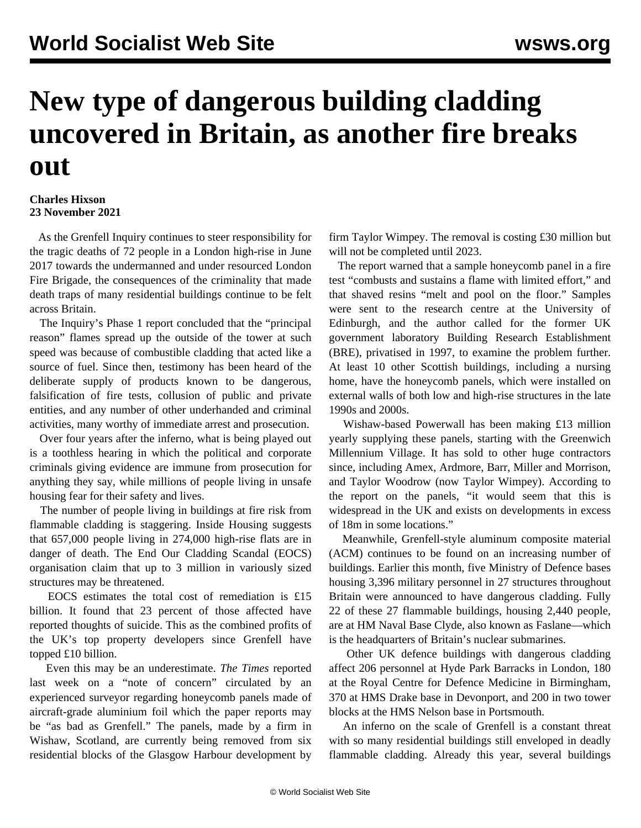## **New type of dangerous building cladding uncovered in Britain, as another fire breaks out**

## **Charles Hixson 23 November 2021**

 As the Grenfell Inquiry continues to steer responsibility for the tragic deaths of 72 people in a London high-rise in June 2017 towards the undermanned and under resourced London Fire Brigade, the consequences of the criminality that made death traps of many residential buildings continue to be felt across Britain.

 The Inquiry's Phase 1 report concluded that the "principal reason" flames spread up the outside of the tower at such speed was because of combustible cladding that acted like a source of fuel. Since then, testimony has been heard of the deliberate supply of products known to be dangerous, falsification of fire tests, collusion of public and private entities, and any number of other underhanded and criminal activities, many worthy of immediate arrest and prosecution.

 Over four years after the inferno, what is being played out is a toothless hearing in which the political and corporate criminals giving evidence are immune from prosecution for anything they say, while millions of people living in unsafe housing fear for their safety and lives.

 The number of people living in buildings at fire risk from flammable cladding is staggering. Inside Housing suggests that 657,000 people living in 274,000 high-rise flats are in danger of death. The End Our Cladding Scandal (EOCS) organisation claim that up to 3 million in variously sized structures may be threatened.

 EOCS estimates the total cost of remediation is £15 billion. It found that 23 percent of those affected have reported thoughts of suicide. This as the combined profits of the UK's top property developers since Grenfell have topped £10 billion.

 Even this may be an underestimate. *The Times* reported last week on a "note of concern" circulated by an experienced surveyor regarding honeycomb panels made of aircraft-grade aluminium foil which the paper reports may be "as bad as Grenfell." The panels, made by a firm in Wishaw, Scotland, are currently being removed from six residential blocks of the Glasgow Harbour development by firm Taylor Wimpey. The removal is costing £30 million but will not be completed until 2023.

 The report warned that a sample honeycomb panel in a fire test "combusts and sustains a flame with limited effort," and that shaved resins "melt and pool on the floor." Samples were sent to the research centre at the University of Edinburgh, and the author called for the former UK government laboratory Building Research Establishment (BRE), privatised in 1997, to examine the problem further. At least 10 other Scottish buildings, including a nursing home, have the honeycomb panels, which were installed on external walls of both low and high-rise structures in the late 1990s and 2000s.

 Wishaw-based Powerwall has been making £13 million yearly supplying these panels, starting with the Greenwich Millennium Village. It has sold to other huge contractors since, including Amex, Ardmore, Barr, Miller and Morrison, and Taylor Woodrow (now Taylor Wimpey). According to the report on the panels, "it would seem that this is widespread in the UK and exists on developments in excess of 18m in some locations."

 Meanwhile, Grenfell-style aluminum composite material (ACM) continues to be found on an increasing number of buildings. Earlier this month, five Ministry of Defence bases housing 3,396 military personnel in 27 structures throughout Britain were announced to have dangerous cladding. Fully 22 of these 27 flammable buildings, housing 2,440 people, are at HM Naval Base Clyde, also known as Faslane—which is the headquarters of Britain's nuclear submarines.

 Other UK defence buildings with dangerous cladding affect 206 personnel at Hyde Park Barracks in London, 180 at the Royal Centre for Defence Medicine in Birmingham, 370 at HMS Drake base in Devonport, and 200 in two tower blocks at the HMS Nelson base in Portsmouth.

 An inferno on the scale of Grenfell is a constant threat with so many residential buildings still enveloped in deadly flammable cladding. Already this year, several buildings